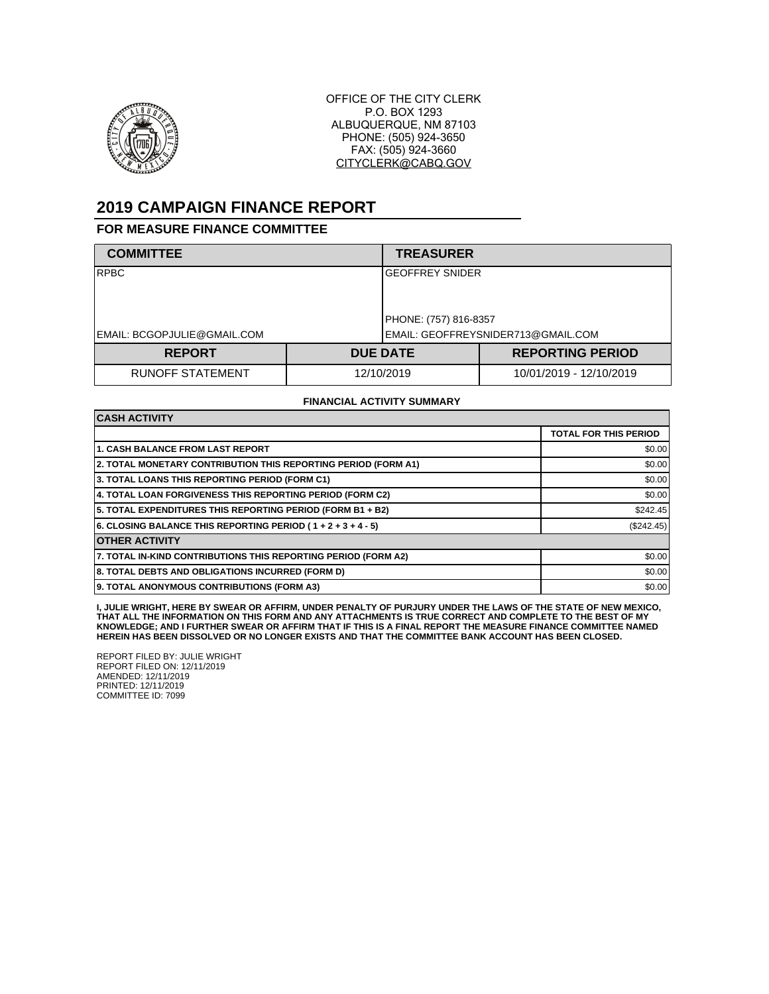

OFFICE OF THE CITY CLERK P.O. BOX 1293 ALBUQUERQUE, NM 87103 PHONE: (505) 924-3650 FAX: (505) 924-3660 CITYCLERK@CABQ.GOV

## **2019 CAMPAIGN FINANCE REPORT**

## **FOR MEASURE FINANCE COMMITTEE**

| <b>COMMITTEE</b>            |            | <b>TREASURER</b>                                            |                         |  |
|-----------------------------|------------|-------------------------------------------------------------|-------------------------|--|
| <b>RPBC</b>                 |            | <b>GEOFFREY SNIDER</b>                                      |                         |  |
| EMAIL: BCGOPJULIE@GMAIL.COM |            | PHONE: (757) 816-8357<br>EMAIL: GEOFFREYSNIDER713@GMAIL.COM |                         |  |
| <b>REPORT</b>               |            | <b>DUE DATE</b>                                             | <b>REPORTING PERIOD</b> |  |
| <b>RUNOFF STATEMENT</b>     | 12/10/2019 |                                                             | 10/01/2019 - 12/10/2019 |  |

## **FINANCIAL ACTIVITY SUMMARY**

| <b>CASH ACTIVITY</b>                                           |                              |  |  |  |
|----------------------------------------------------------------|------------------------------|--|--|--|
|                                                                | <b>TOTAL FOR THIS PERIOD</b> |  |  |  |
| <b>1. CASH BALANCE FROM LAST REPORT</b>                        | \$0.00                       |  |  |  |
| 2. TOTAL MONETARY CONTRIBUTION THIS REPORTING PERIOD (FORM A1) | \$0.00                       |  |  |  |
| 3. TOTAL LOANS THIS REPORTING PERIOD (FORM C1)                 | \$0.00                       |  |  |  |
| 4. TOTAL LOAN FORGIVENESS THIS REPORTING PERIOD (FORM C2)      | \$0.00                       |  |  |  |
| 5. TOTAL EXPENDITURES THIS REPORTING PERIOD (FORM B1 + B2)     | \$242.45                     |  |  |  |
| 6. CLOSING BALANCE THIS REPORTING PERIOD (1+2+3+4-5)           | (\$242.45)                   |  |  |  |
| <b>OTHER ACTIVITY</b>                                          |                              |  |  |  |
| 7. TOTAL IN-KIND CONTRIBUTIONS THIS REPORTING PERIOD (FORM A2) | \$0.00                       |  |  |  |
| 8. TOTAL DEBTS AND OBLIGATIONS INCURRED (FORM D)               | \$0.00                       |  |  |  |
| 9. TOTAL ANONYMOUS CONTRIBUTIONS (FORM A3)                     | \$0.00                       |  |  |  |

**I, JULIE WRIGHT, HERE BY SWEAR OR AFFIRM, UNDER PENALTY OF PURJURY UNDER THE LAWS OF THE STATE OF NEW MEXICO, THAT ALL THE INFORMATION ON THIS FORM AND ANY ATTACHMENTS IS TRUE CORRECT AND COMPLETE TO THE BEST OF MY KNOWLEDGE; AND I FURTHER SWEAR OR AFFIRM THAT IF THIS IS A FINAL REPORT THE MEASURE FINANCE COMMITTEE NAMED HEREIN HAS BEEN DISSOLVED OR NO LONGER EXISTS AND THAT THE COMMITTEE BANK ACCOUNT HAS BEEN CLOSED.**

REPORT FILED BY: JULIE WRIGHT REPORT FILED ON: 12/11/2019 AMENDED: 12/11/2019 PRINTED: 12/11/2019 COMMITTEE ID: 7099